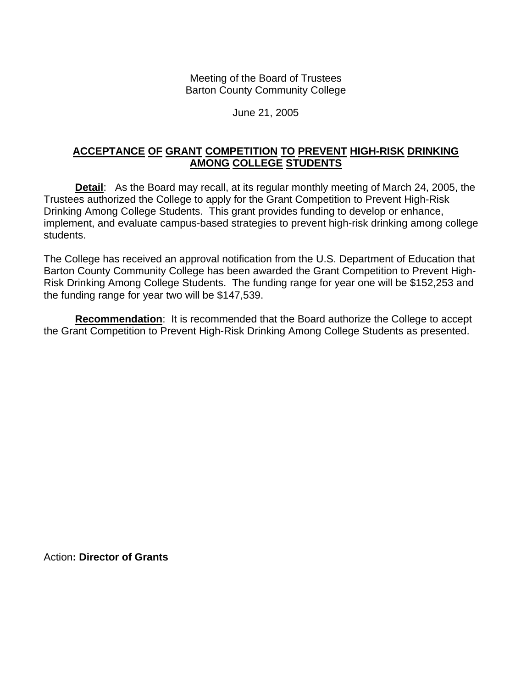Meeting of the Board of Trustees Barton County Community College

## June 21, 2005

## **ACCEPTANCE OF GRANT COMPETITION TO PREVENT HIGH-RISK DRINKING AMONG COLLEGE STUDENTS**

**Detail**: As the Board may recall, at its regular monthly meeting of March 24, 2005, the Trustees authorized the College to apply for the Grant Competition to Prevent High-Risk Drinking Among College Students. This grant provides funding to develop or enhance, implement, and evaluate campus-based strategies to prevent high-risk drinking among college students.

The College has received an approval notification from the U.S. Department of Education that Barton County Community College has been awarded the Grant Competition to Prevent High-Risk Drinking Among College Students. The funding range for year one will be \$152,253 and the funding range for year two will be \$147,539.

**Recommendation**: It is recommended that the Board authorize the College to accept the Grant Competition to Prevent High-Risk Drinking Among College Students as presented.

Action**: Director of Grants**